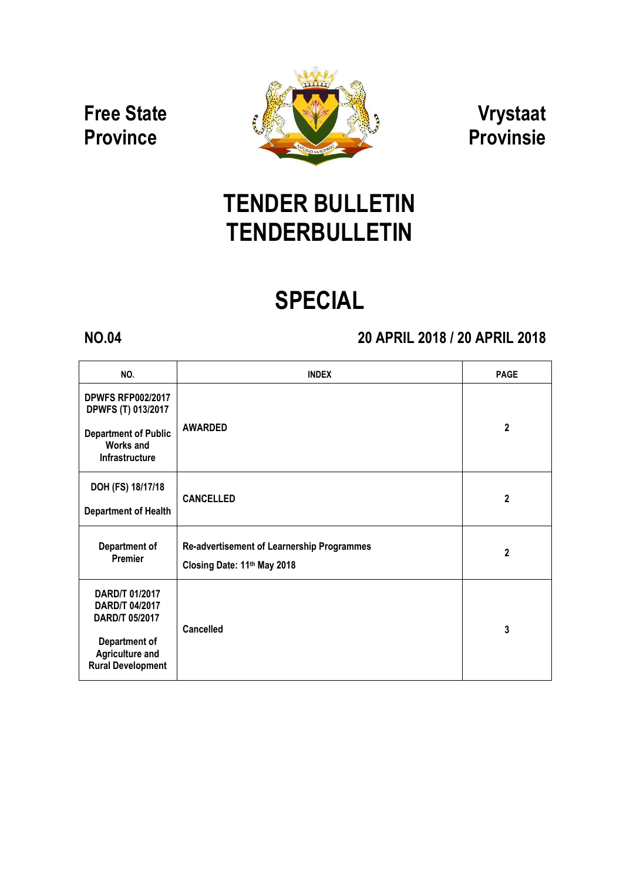### Free State **Province**



Vrystaat Provinsie

## TENDER BULLETIN TENDERBULLETIN

# SPECIAL

### NO.04 20 APRIL 2018 / 20 APRIL 2018

| NO.                                                                                                                       | <b>INDEX</b>                                                              | <b>PAGE</b>    |
|---------------------------------------------------------------------------------------------------------------------------|---------------------------------------------------------------------------|----------------|
| <b>DPWFS RFP002/2017</b><br>DPWFS (T) 013/2017<br><b>Department of Public</b><br><b>Works and</b><br>Infrastructure       | <b>AWARDED</b>                                                            | $\overline{2}$ |
| DOH (FS) 18/17/18<br><b>Department of Health</b>                                                                          | <b>CANCELLED</b>                                                          | 2              |
| Department of<br><b>Premier</b>                                                                                           | Re-advertisement of Learnership Programmes<br>Closing Date: 11th May 2018 | 2              |
| DARD/T 01/2017<br>DARD/T 04/2017<br>DARD/T 05/2017<br>Department of<br><b>Agriculture and</b><br><b>Rural Development</b> | <b>Cancelled</b>                                                          | 3              |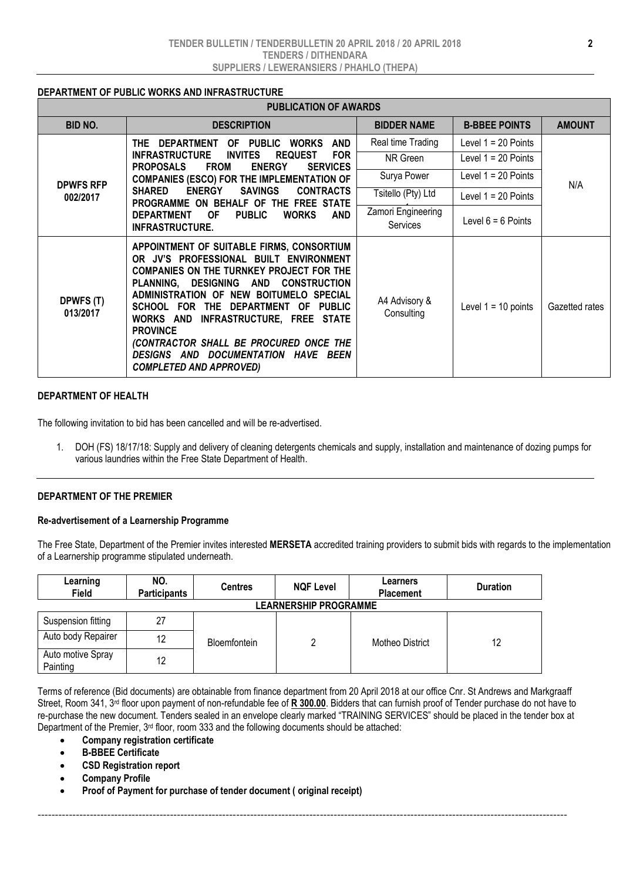#### DEPARTMENT OF PUBLIC WORKS AND INFRASTRUCTURE

| <b>PUBLICATION OF AWARDS</b> |                                                                                                                                                                                                                                                                                                                                                                                                                                                |                                |                       |                |  |  |  |
|------------------------------|------------------------------------------------------------------------------------------------------------------------------------------------------------------------------------------------------------------------------------------------------------------------------------------------------------------------------------------------------------------------------------------------------------------------------------------------|--------------------------------|-----------------------|----------------|--|--|--|
| <b>BID NO.</b>               | <b>DESCRIPTION</b>                                                                                                                                                                                                                                                                                                                                                                                                                             | <b>BIDDER NAME</b>             | <b>B-BBEE POINTS</b>  | <b>AMOUNT</b>  |  |  |  |
| <b>DPWFS RFP</b><br>002/2017 | OF PUBLIC WORKS<br><b>AND</b><br><b>THE</b><br>DEPARTMENT<br><b>INVITES</b><br><b>FOR</b><br><b>INFRASTRUCTURE</b><br><b>REQUEST</b><br><b>PROPOSALS</b><br><b>FROM</b><br><b>ENERGY</b><br><b>SERVICES</b>                                                                                                                                                                                                                                    | Real time Trading              | Level 1 = 20 Points   | N/A            |  |  |  |
|                              |                                                                                                                                                                                                                                                                                                                                                                                                                                                | NR Green                       | Level 1 = 20 Points   |                |  |  |  |
|                              | <b>COMPANIES (ESCO) FOR THE IMPLEMENTATION OF</b>                                                                                                                                                                                                                                                                                                                                                                                              | Surya Power                    | Level 1 = 20 Points   |                |  |  |  |
|                              | <b>ENERGY</b><br>SAVINGS<br><b>SHARED</b><br><b>CONTRACTS</b><br>PROGRAMME ON BEHALF OF THE FREE STATE<br><b>WORKS</b><br><b>DEPARTMENT</b><br>0F<br><b>PUBLIC</b><br>AND<br><b>INFRASTRUCTURE.</b>                                                                                                                                                                                                                                            | Tsitello (Pty) Ltd             | Level 1 = 20 Points   |                |  |  |  |
|                              |                                                                                                                                                                                                                                                                                                                                                                                                                                                | Zamori Engineering<br>Services | Level $6 = 6$ Points  |                |  |  |  |
| DPWFS (T)<br>013/2017        | APPOINTMENT OF SUITABLE FIRMS, CONSORTIUM<br>OR JV'S PROFESSIONAL BUILT ENVIRONMENT<br><b>COMPANIES ON THE TURNKEY PROJECT FOR THE</b><br>PLANNING, DESIGNING AND CONSTRUCTION<br>ADMINISTRATION OF NEW BOITUMELO SPECIAL<br>SCHOOL FOR THE DEPARTMENT OF PUBLIC<br>WORKS AND INFRASTRUCTURE, FREE STATE<br><b>PROVINCE</b><br>(CONTRACTOR SHALL BE PROCURED ONCE THE<br>DESIGNS AND DOCUMENTATION HAVE BEEN<br><b>COMPLETED AND APPROVED)</b> | A4 Advisory &<br>Consulting    | Level $1 = 10$ points | Gazetted rates |  |  |  |

#### DEPARTMENT OF HEALTH

The following invitation to bid has been cancelled and will be re-advertised.

1. DOH (FS) 18/17/18: Supply and delivery of cleaning detergents chemicals and supply, installation and maintenance of dozing pumps for various laundries within the Free State Department of Health.

#### DEPARTMENT OF THE PREMIER

#### Re-advertisement of a Learnership Programme

The Free State, Department of the Premier invites interested MERSETA accredited training providers to submit bids with regards to the implementation of a Learnership programme stipulated underneath.

| Learning<br><b>Field</b>      | NO.<br><b>Participants</b> | <b>Centres</b> | <b>NQF Level</b> | Learners<br><b>Placement</b> | <b>Duration</b> |  |  |  |  |
|-------------------------------|----------------------------|----------------|------------------|------------------------------|-----------------|--|--|--|--|
| <b>LEARNERSHIP PROGRAMME</b>  |                            |                |                  |                              |                 |  |  |  |  |
| Suspension fitting            | 27                         |                |                  |                              |                 |  |  |  |  |
| Auto body Repairer            | 12                         | Bloemfontein   |                  | Motheo District              | 12              |  |  |  |  |
| Auto motive Spray<br>Painting | 12                         |                |                  |                              |                 |  |  |  |  |

Terms of reference (Bid documents) are obtainable from finance department from 20 April 2018 at our office Cnr. St Andrews and Markgraaff Street, Room 341, 3<sup>rd</sup> floor upon payment of non-refundable fee of R 300.00. Bidders that can furnish proof of Tender purchase do not have to re-purchase the new document. Tenders sealed in an envelope clearly marked "TRAINING SERVICES" should be placed in the tender box at Department of the Premier, 3rd floor, room 333 and the following documents should be attached:

--------------------------------------------------------------------------------------------------------------------------------------------------------

- Company registration certificate
- B-BBEE Certificate
- CSD Registration report
- Company Profile
- Proof of Payment for purchase of tender document ( original receipt)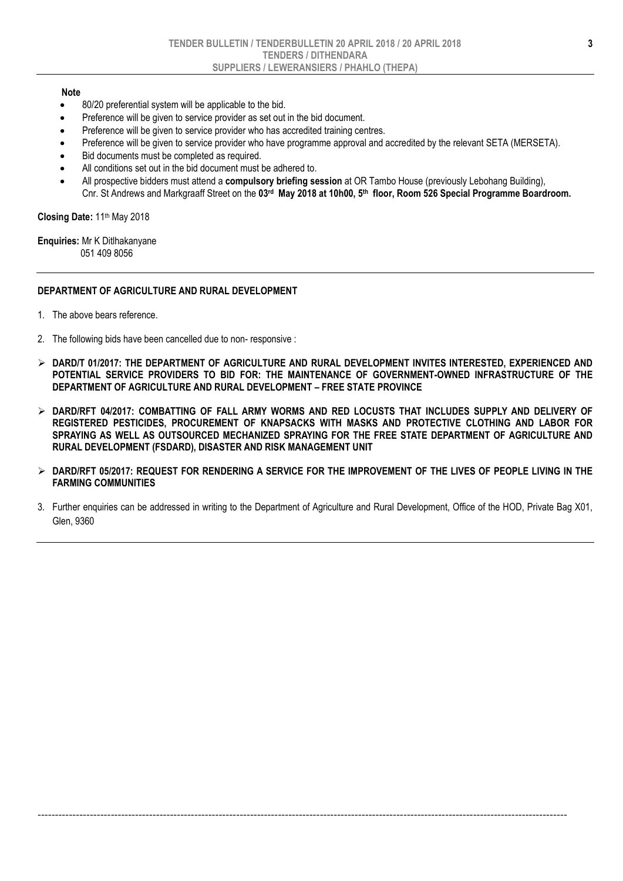#### Note

- 80/20 preferential system will be applicable to the bid.
- Preference will be given to service provider as set out in the bid document.
- Preference will be given to service provider who has accredited training centres.
- Preference will be given to service provider who have programme approval and accredited by the relevant SETA (MERSETA).
- Bid documents must be completed as required.
- All conditions set out in the bid document must be adhered to.
- All prospective bidders must attend a compulsory briefing session at OR Tambo House (previously Lebohang Building), Cnr. St Andrews and Markgraaff Street on the 03rd May 2018 at 10h00, 5<sup>th</sup> floor, Room 526 Special Programme Boardroom.

Closing Date: 11th May 2018

Enquiries: Mr K Ditlhakanyane 051 409 8056

#### DEPARTMENT OF AGRICULTURE AND RURAL DEVELOPMENT

- 1. The above bears reference.
- 2. The following bids have been cancelled due to non- responsive :
- $>$  DARD/T 01/2017: THE DEPARTMENT OF AGRICULTURE AND RURAL DEVELOPMENT INVITES INTERESTED, EXPERIENCED AND POTENTIAL SERVICE PROVIDERS TO BID FOR: THE MAINTENANCE OF GOVERNMENT-OWNED INFRASTRUCTURE OF THE DEPARTMENT OF AGRICULTURE AND RURAL DEVELOPMENT – FREE STATE PROVINCE
- $\triangleright$  dard/rft 04/2017: COMBATTING OF FALL ARMY WORMS AND RED LOCUSTS THAT INCLUDES SUPPLY AND DELIVERY OF REGISTERED PESTICIDES, PROCUREMENT OF KNAPSACKS WITH MASKS AND PROTECTIVE CLOTHING AND LABOR FOR SPRAYING AS WELL AS OUTSOURCED MECHANIZED SPRAYING FOR THE FREE STATE DEPARTMENT OF AGRICULTURE AND RURAL DEVELOPMENT (FSDARD), DISASTER AND RISK MANAGEMENT UNIT
- $\triangleright$  dard/rft 05/2017: Request for rendering a service for the improvement of the lives of people living in the FARMING COMMUNITIES
- 3. Further enquiries can be addressed in writing to the Department of Agriculture and Rural Development, Office of the HOD, Private Bag X01, Glen, 9360

--------------------------------------------------------------------------------------------------------------------------------------------------------